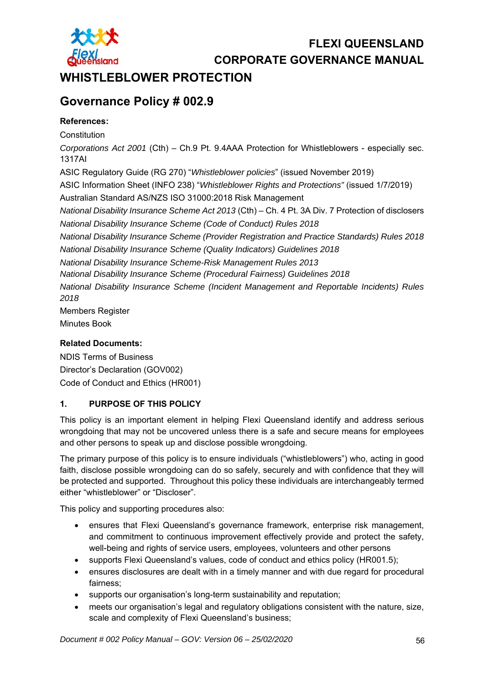

# **FLEXI QUEENSLAND**

**CORPORATE GOVERNANCE MANUAL** 

## WHISTLEBLOWER PROTECTION

# **Governance Policy # 002.9**

### **References:**

**Constitution** *Corporations Act 2001* (Cth) – Ch.9 Pt. 9.4AAA Protection for Whistleblowers - especially sec. 1317AI ASIC Regulatory Guide (RG 270) "*Whistleblower policies*" (issued November 2019) ASIC Information Sheet (INFO 238) "*Whistleblower Rights and Protections"* (issued 1/7/2019) Australian Standard AS/NZS ISO 31000:2018 Risk Management *National Disability Insurance Scheme Act 2013* (Cth) – Ch. 4 Pt. 3A Div. 7 Protection of disclosers *National Disability Insurance Scheme (Code of Conduct) Rules 2018 National Disability Insurance Scheme (Provider Registration and Practice Standards) Rules 2018 National Disability Insurance Scheme (Quality Indicators) Guidelines 2018 National Disability Insurance Scheme-Risk Management Rules 2013 National Disability Insurance Scheme (Procedural Fairness) Guidelines 2018 National Disability Insurance Scheme (Incident Management and Reportable Incidents) Rules 2018*  Members Register

Minutes Book

#### **Related Documents:**

NDIS Terms of Business Director's Declaration (GOV002) Code of Conduct and Ethics (HR001)

### **1. PURPOSE OF THIS POLICY**

This policy is an important element in helping Flexi Queensland identify and address serious wrongdoing that may not be uncovered unless there is a safe and secure means for employees and other persons to speak up and disclose possible wrongdoing.

The primary purpose of this policy is to ensure individuals ("whistleblowers") who, acting in good faith, disclose possible wrongdoing can do so safely, securely and with confidence that they will be protected and supported. Throughout this policy these individuals are interchangeably termed either "whistleblower" or "Discloser".

This policy and supporting procedures also:

- ensures that Flexi Queensland's governance framework, enterprise risk management, and commitment to continuous improvement effectively provide and protect the safety, well-being and rights of service users, employees, volunteers and other persons
- supports Flexi Queensland's values, code of conduct and ethics policy (HR001.5);
- ensures disclosures are dealt with in a timely manner and with due regard for procedural fairness;
- supports our organisation's long-term sustainability and reputation;
- meets our organisation's legal and regulatory obligations consistent with the nature, size, scale and complexity of Flexi Queensland's business;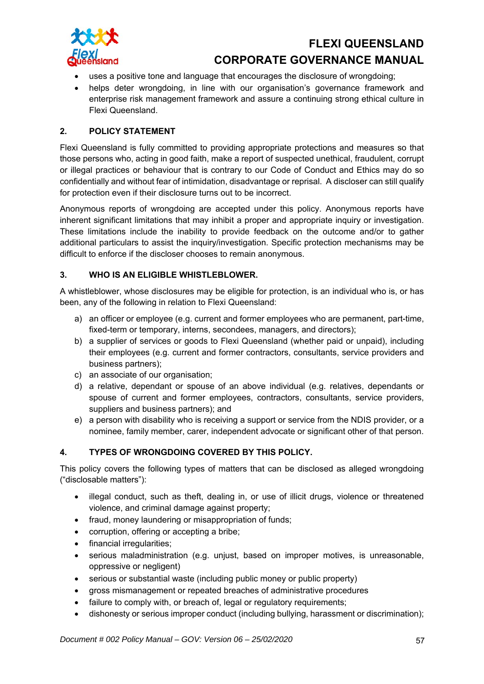

- uses a positive tone and language that encourages the disclosure of wrongdoing;
- helps deter wrongdoing, in line with our organisation's governance framework and enterprise risk management framework and assure a continuing strong ethical culture in Flexi Queensland.

#### **2. POLICY STATEMENT**

Flexi Queensland is fully committed to providing appropriate protections and measures so that those persons who, acting in good faith, make a report of suspected unethical, fraudulent, corrupt or illegal practices or behaviour that is contrary to our Code of Conduct and Ethics may do so confidentially and without fear of intimidation, disadvantage or reprisal. A discloser can still qualify for protection even if their disclosure turns out to be incorrect.

Anonymous reports of wrongdoing are accepted under this policy. Anonymous reports have inherent significant limitations that may inhibit a proper and appropriate inquiry or investigation. These limitations include the inability to provide feedback on the outcome and/or to gather additional particulars to assist the inquiry/investigation. Specific protection mechanisms may be difficult to enforce if the discloser chooses to remain anonymous.

#### **3. WHO IS AN ELIGIBLE WHISTLEBLOWER.**

A whistleblower, whose disclosures may be eligible for protection, is an individual who is, or has been, any of the following in relation to Flexi Queensland:

- a) an officer or employee (e.g. current and former employees who are permanent, part-time, fixed-term or temporary, interns, secondees, managers, and directors);
- b) a supplier of services or goods to Flexi Queensland (whether paid or unpaid), including their employees (e.g. current and former contractors, consultants, service providers and business partners);
- c) an associate of our organisation;
- d) a relative, dependant or spouse of an above individual (e.g. relatives, dependants or spouse of current and former employees, contractors, consultants, service providers, suppliers and business partners); and
- e) a person with disability who is receiving a support or service from the NDIS provider, or a nominee, family member, carer, independent advocate or significant other of that person.

#### **4. TYPES OF WRONGDOING COVERED BY THIS POLICY.**

This policy covers the following types of matters that can be disclosed as alleged wrongdoing ("disclosable matters"):

- illegal conduct, such as theft, dealing in, or use of illicit drugs, violence or threatened violence, and criminal damage against property;
- fraud, money laundering or misappropriation of funds;
- corruption, offering or accepting a bribe;
- financial irregularities;
- serious maladministration (e.g. unjust, based on improper motives, is unreasonable, oppressive or negligent)
- serious or substantial waste (including public money or public property)
- gross mismanagement or repeated breaches of administrative procedures
- failure to comply with, or breach of, legal or regulatory requirements;
- dishonesty or serious improper conduct (including bullying, harassment or discrimination);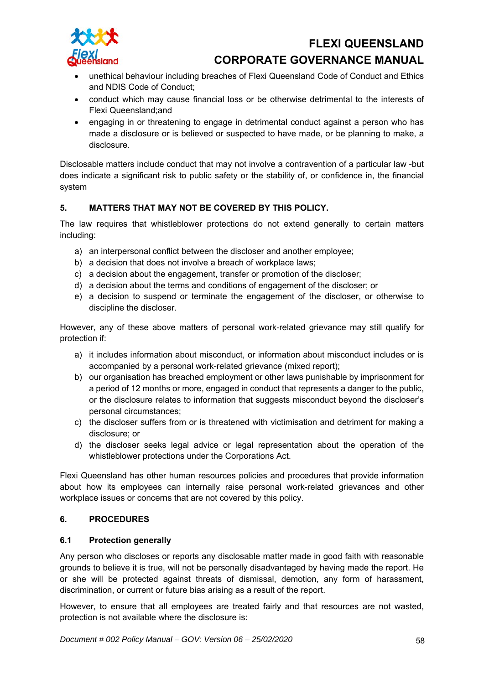

- unethical behaviour including breaches of Flexi Queensland Code of Conduct and Ethics and NDIS Code of Conduct;
- conduct which may cause financial loss or be otherwise detrimental to the interests of Flexi Queensland;and
- engaging in or threatening to engage in detrimental conduct against a person who has made a disclosure or is believed or suspected to have made, or be planning to make, a disclosure.

Disclosable matters include conduct that may not involve a contravention of a particular law -but does indicate a significant risk to public safety or the stability of, or confidence in, the financial system

### **5. MATTERS THAT MAY NOT BE COVERED BY THIS POLICY.**

The law requires that whistleblower protections do not extend generally to certain matters including:

- a) an interpersonal conflict between the discloser and another employee;
- b) a decision that does not involve a breach of workplace laws;
- c) a decision about the engagement, transfer or promotion of the discloser;
- d) a decision about the terms and conditions of engagement of the discloser; or
- e) a decision to suspend or terminate the engagement of the discloser, or otherwise to discipline the discloser.

However, any of these above matters of personal work-related grievance may still qualify for protection if:

- a) it includes information about misconduct, or information about misconduct includes or is accompanied by a personal work-related grievance (mixed report);
- b) our organisation has breached employment or other laws punishable by imprisonment for a period of 12 months or more, engaged in conduct that represents a danger to the public, or the disclosure relates to information that suggests misconduct beyond the discloser's personal circumstances;
- c) the discloser suffers from or is threatened with victimisation and detriment for making a disclosure; or
- d) the discloser seeks legal advice or legal representation about the operation of the whistleblower protections under the Corporations Act.

Flexi Queensland has other human resources policies and procedures that provide information about how its employees can internally raise personal work-related grievances and other workplace issues or concerns that are not covered by this policy.

#### **6. PROCEDURES**

#### **6.1 Protection generally**

Any person who discloses or reports any disclosable matter made in good faith with reasonable grounds to believe it is true, will not be personally disadvantaged by having made the report. He or she will be protected against threats of dismissal, demotion, any form of harassment, discrimination, or current or future bias arising as a result of the report.

However, to ensure that all employees are treated fairly and that resources are not wasted, protection is not available where the disclosure is: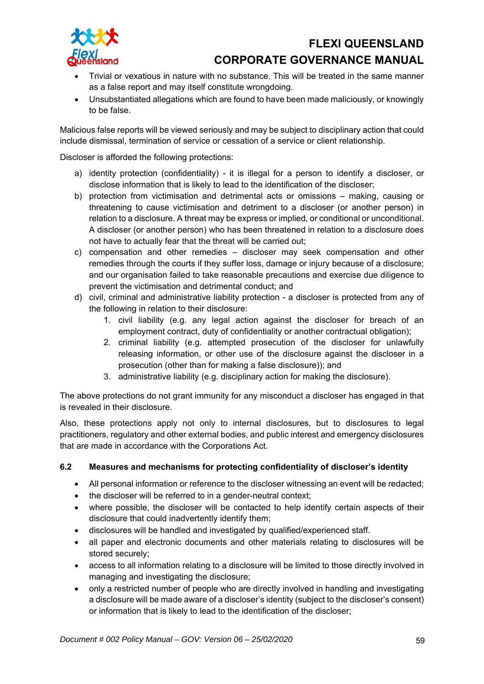

- Trivial or vexatious in nature with no substance. This will be treated in the same manner as a false report and may itself constitute wrongdoing.
- Unsubstantiated allegations which are found to have been made maliciously, or knowingly to be false.

Malicious false reports will be viewed seriously and may be subject to disciplinary action that could include dismissal, termination of service or cessation of a service or client relationship.

Discloser is afforded the following protections:

- a) identity protection (confidentiality) it is illegal for a person to identify a discloser, or disclose information that is likely to lead to the identification of the discloser;
- b) protection from victimisation and detrimental acts or omissions making, causing or threatening to cause victimisation and detriment to a discloser (or another person) in relation to a disclosure. A threat may be express or implied, or conditional or unconditional. A discloser (or another person) who has been threatened in relation to a disclosure does not have to actually fear that the threat will be carried out;
- c) compensation and other remedies discloser may seek compensation and other remedies through the courts if they suffer loss, damage or injury because of a disclosure; and our organisation failed to take reasonable precautions and exercise due diligence to prevent the victimisation and detrimental conduct; and
- d) civil, criminal and administrative liability protection a discloser is protected from any of the following in relation to their disclosure:
	- 1. civil liability (e.g. any legal action against the discloser for breach of an employment contract, duty of confidentiality or another contractual obligation);
	- 2. criminal liability (e.g. attempted prosecution of the discloser for unlawfully releasing information, or other use of the disclosure against the discloser in a prosecution (other than for making a false disclosure)); and
	- 3. administrative liability (e.g. disciplinary action for making the disclosure).

The above protections do not grant immunity for any misconduct a discloser has engaged in that is revealed in their disclosure.

Also, these protections apply not only to internal disclosures, but to disclosures to legal practitioners, regulatory and other external bodies, and public interest and emergency disclosures that are made in accordance with the Corporations Act.

#### **6.2 Measures and mechanisms for protecting confidentiality of discloser's identity**

- All personal information or reference to the discloser witnessing an event will be redacted;
- the discloser will be referred to in a gender-neutral context;
- where possible, the discloser will be contacted to help identify certain aspects of their disclosure that could inadvertently identify them;
- disclosures will be handled and investigated by qualified/experienced staff.
- all paper and electronic documents and other materials relating to disclosures will be stored securely;
- access to all information relating to a disclosure will be limited to those directly involved in managing and investigating the disclosure;
- only a restricted number of people who are directly involved in handling and investigating a disclosure will be made aware of a discloser's identity (subject to the discloser's consent) or information that is likely to lead to the identification of the discloser;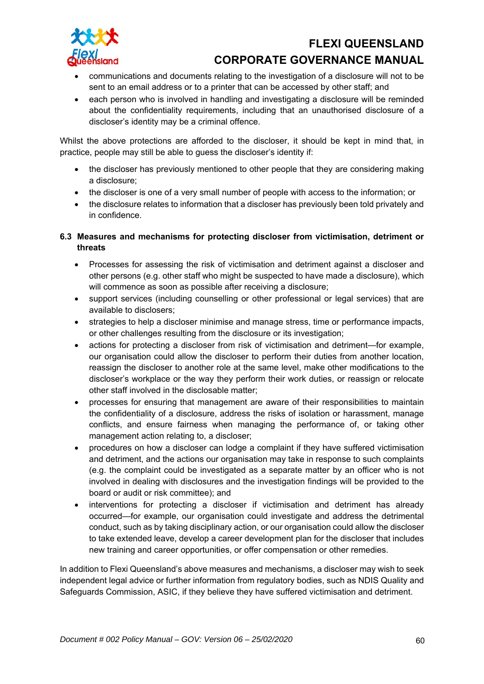

- communications and documents relating to the investigation of a disclosure will not to be sent to an email address or to a printer that can be accessed by other staff; and
- each person who is involved in handling and investigating a disclosure will be reminded about the confidentiality requirements, including that an unauthorised disclosure of a discloser's identity may be a criminal offence.

Whilst the above protections are afforded to the discloser, it should be kept in mind that, in practice, people may still be able to guess the discloser's identity if:

- the discloser has previously mentioned to other people that they are considering making a disclosure;
- the discloser is one of a very small number of people with access to the information; or
- the disclosure relates to information that a discloser has previously been told privately and in confidence.

### **6.3 Measures and mechanisms for protecting discloser from victimisation, detriment or threats**

- Processes for assessing the risk of victimisation and detriment against a discloser and other persons (e.g. other staff who might be suspected to have made a disclosure), which will commence as soon as possible after receiving a disclosure;
- support services (including counselling or other professional or legal services) that are available to disclosers;
- strategies to help a discloser minimise and manage stress, time or performance impacts, or other challenges resulting from the disclosure or its investigation;
- actions for protecting a discloser from risk of victimisation and detriment—for example, our organisation could allow the discloser to perform their duties from another location, reassign the discloser to another role at the same level, make other modifications to the discloser's workplace or the way they perform their work duties, or reassign or relocate other staff involved in the disclosable matter;
- processes for ensuring that management are aware of their responsibilities to maintain the confidentiality of a disclosure, address the risks of isolation or harassment, manage conflicts, and ensure fairness when managing the performance of, or taking other management action relating to, a discloser;
- procedures on how a discloser can lodge a complaint if they have suffered victimisation and detriment, and the actions our organisation may take in response to such complaints (e.g. the complaint could be investigated as a separate matter by an officer who is not involved in dealing with disclosures and the investigation findings will be provided to the board or audit or risk committee); and
- interventions for protecting a discloser if victimisation and detriment has already occurred—for example, our organisation could investigate and address the detrimental conduct, such as by taking disciplinary action, or our organisation could allow the discloser to take extended leave, develop a career development plan for the discloser that includes new training and career opportunities, or offer compensation or other remedies.

In addition to Flexi Queensland's above measures and mechanisms, a discloser may wish to seek independent legal advice or further information from regulatory bodies, such as NDIS Quality and Safeguards Commission, ASIC, if they believe they have suffered victimisation and detriment.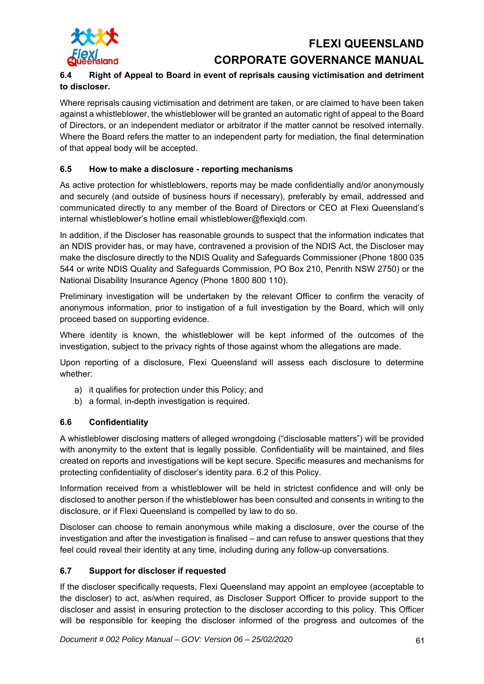

## **6.4 Right of Appeal to Board in event of reprisals causing victimisation and detriment to discloser.**

Where reprisals causing victimisation and detriment are taken, or are claimed to have been taken against a whistleblower, the whistleblower will be granted an automatic right of appeal to the Board of Directors, or an independent mediator or arbitrator if the matter cannot be resolved internally. Where the Board refers the matter to an independent party for mediation, the final determination of that appeal body will be accepted.

### **6.5 How to make a disclosure - reporting mechanisms**

As active protection for whistleblowers, reports may be made confidentially and/or anonymously and securely (and outside of business hours if necessary), preferably by email, addressed and communicated directly to any member of the Board of Directors or CEO at Flexi Queensland's internal whistleblower's hotline email whistleblower@flexiqld.com.

In addition, if the Discloser has reasonable grounds to suspect that the information indicates that an NDIS provider has, or may have, contravened a provision of the NDIS Act, the Discloser may make the disclosure directly to the NDIS Quality and Safeguards Commissioner (Phone 1800 035 544 or write NDIS Quality and Safeguards Commission, PO Box 210, Penrith NSW 2750) or the National Disability Insurance Agency (Phone 1800 800 110).

Preliminary investigation will be undertaken by the relevant Officer to confirm the veracity of anonymous information, prior to instigation of a full investigation by the Board, which will only proceed based on supporting evidence.

Where identity is known, the whistleblower will be kept informed of the outcomes of the investigation, subject to the privacy rights of those against whom the allegations are made.

Upon reporting of a disclosure, Flexi Queensland will assess each disclosure to determine whether:

- a) it qualifies for protection under this Policy; and
- b) a formal, in-depth investigation is required.

### **6.6 Confidentiality**

A whistleblower disclosing matters of alleged wrongdoing ("disclosable matters") will be provided with anonymity to the extent that is legally possible. Confidentiality will be maintained, and files created on reports and investigations will be kept secure. Specific measures and mechanisms for protecting confidentiality of discloser's identity para. 6.2 of this Policy.

Information received from a whistleblower will be held in strictest confidence and will only be disclosed to another person if the whistleblower has been consulted and consents in writing to the disclosure, or if Flexi Queensland is compelled by law to do so.

Discloser can choose to remain anonymous while making a disclosure, over the course of the investigation and after the investigation is finalised – and can refuse to answer questions that they feel could reveal their identity at any time, including during any follow-up conversations.

### **6.7 Support for discloser if requested**

If the discloser specifically requests, Flexi Queensland may appoint an employee (acceptable to the discloser) to act, as/when required, as Discloser Support Officer to provide support to the discloser and assist in ensuring protection to the discloser according to this policy. This Officer will be responsible for keeping the discloser informed of the progress and outcomes of the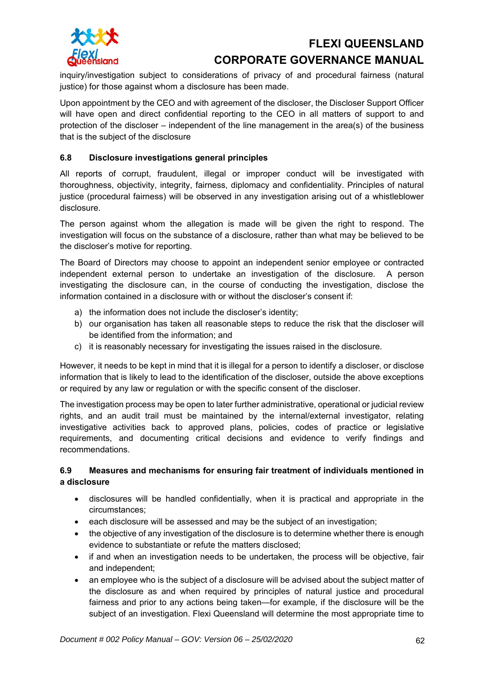

inquiry/investigation subject to considerations of privacy of and procedural fairness (natural justice) for those against whom a disclosure has been made.

Upon appointment by the CEO and with agreement of the discloser, the Discloser Support Officer will have open and direct confidential reporting to the CEO in all matters of support to and protection of the discloser – independent of the line management in the area(s) of the business that is the subject of the disclosure

### **6.8 Disclosure investigations general principles**

All reports of corrupt, fraudulent, illegal or improper conduct will be investigated with thoroughness, objectivity, integrity, fairness, diplomacy and confidentiality. Principles of natural justice (procedural fairness) will be observed in any investigation arising out of a whistleblower disclosure.

The person against whom the allegation is made will be given the right to respond. The investigation will focus on the substance of a disclosure, rather than what may be believed to be the discloser's motive for reporting.

The Board of Directors may choose to appoint an independent senior employee or contracted independent external person to undertake an investigation of the disclosure. A person investigating the disclosure can, in the course of conducting the investigation, disclose the information contained in a disclosure with or without the discloser's consent if:

- a) the information does not include the discloser's identity;
- b) our organisation has taken all reasonable steps to reduce the risk that the discloser will be identified from the information; and
- c) it is reasonably necessary for investigating the issues raised in the disclosure.

However, it needs to be kept in mind that it is illegal for a person to identify a discloser, or disclose information that is likely to lead to the identification of the discloser, outside the above exceptions or required by any law or regulation or with the specific consent of the discloser.

The investigation process may be open to later further administrative, operational or judicial review rights, and an audit trail must be maintained by the internal/external investigator, relating investigative activities back to approved plans, policies, codes of practice or legislative requirements, and documenting critical decisions and evidence to verify findings and recommendations.

#### **6.9 Measures and mechanisms for ensuring fair treatment of individuals mentioned in a disclosure**

- disclosures will be handled confidentially, when it is practical and appropriate in the circumstances;
- each disclosure will be assessed and may be the subject of an investigation;
- the objective of any investigation of the disclosure is to determine whether there is enough evidence to substantiate or refute the matters disclosed;
- if and when an investigation needs to be undertaken, the process will be objective, fair and independent;
- an employee who is the subject of a disclosure will be advised about the subject matter of the disclosure as and when required by principles of natural justice and procedural fairness and prior to any actions being taken—for example, if the disclosure will be the subject of an investigation. Flexi Queensland will determine the most appropriate time to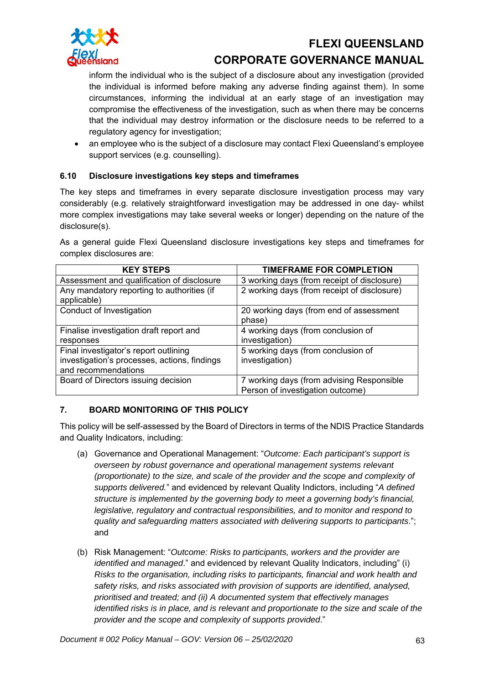

inform the individual who is the subject of a disclosure about any investigation (provided the individual is informed before making any adverse finding against them). In some circumstances, informing the individual at an early stage of an investigation may compromise the effectiveness of the investigation, such as when there may be concerns that the individual may destroy information or the disclosure needs to be referred to a regulatory agency for investigation;

• an employee who is the subject of a disclosure may contact Flexi Queensland's employee support services (e.g. counselling).

### **6.10 Disclosure investigations key steps and timeframes**

The key steps and timeframes in every separate disclosure investigation process may vary considerably (e.g. relatively straightforward investigation may be addressed in one day- whilst more complex investigations may take several weeks or longer) depending on the nature of the disclosure(s).

As a general guide Flexi Queensland disclosure investigations key steps and timeframes for complex disclosures are:

| <b>KEY STEPS</b>                                          | <b>TIMEFRAME FOR COMPLETION</b>                   |
|-----------------------------------------------------------|---------------------------------------------------|
| Assessment and qualification of disclosure                | 3 working days (from receipt of disclosure)       |
| Any mandatory reporting to authorities (if<br>applicable) | 2 working days (from receipt of disclosure)       |
| Conduct of Investigation                                  | 20 working days (from end of assessment<br>phase) |
| Finalise investigation draft report and                   | 4 working days (from conclusion of                |
| responses                                                 | investigation)                                    |
| Final investigator's report outlining                     | 5 working days (from conclusion of                |
| investigation's processes, actions, findings              | investigation)                                    |
| and recommendations                                       |                                                   |
| Board of Directors issuing decision                       | 7 working days (from advising Responsible         |
|                                                           | Person of investigation outcome)                  |

### **7. BOARD MONITORING OF THIS POLICY**

This policy will be self-assessed by the Board of Directors in terms of the NDIS Practice Standards and Quality Indicators, including:

- (a) Governance and Operational Management: "*Outcome: Each participant's support is overseen by robust governance and operational management systems relevant (proportionate) to the size, and scale of the provider and the scope and complexity of supports delivered.*" and evidenced by relevant Quality Indictors, including "*A defined structure is implemented by the governing body to meet a governing body's financial, legislative, regulatory and contractual responsibilities, and to monitor and respond to quality and safeguarding matters associated with delivering supports to participants*."; and
- (b) Risk Management: "*Outcome: Risks to participants, workers and the provider are identified and managed*." and evidenced by relevant Quality Indicators, including" (i) *Risks to the organisation, including risks to participants, financial and work health and safety risks, and risks associated with provision of supports are identified, analysed, prioritised and treated; and (ii) A documented system that effectively manages identified risks is in place, and is relevant and proportionate to the size and scale of the provider and the scope and complexity of supports provided*."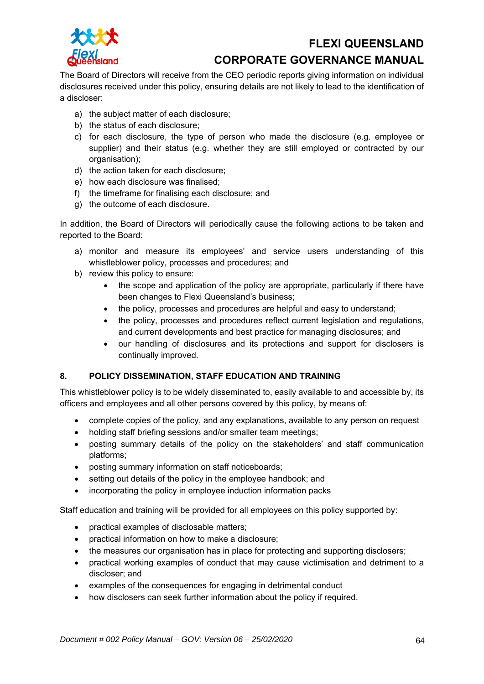

The Board of Directors will receive from the CEO periodic reports giving information on individual disclosures received under this policy, ensuring details are not likely to lead to the identification of a discloser:

- a) the subject matter of each disclosure;
- b) the status of each disclosure;
- c) for each disclosure, the type of person who made the disclosure (e.g. employee or supplier) and their status (e.g. whether they are still employed or contracted by our organisation);
- d) the action taken for each disclosure;
- e) how each disclosure was finalised;
- f) the timeframe for finalising each disclosure; and
- g) the outcome of each disclosure.

In addition, the Board of Directors will periodically cause the following actions to be taken and reported to the Board:

- a) monitor and measure its employees' and service users understanding of this whistleblower policy, processes and procedures; and
- b) review this policy to ensure:
	- the scope and application of the policy are appropriate, particularly if there have been changes to Flexi Queensland's business;
	- the policy, processes and procedures are helpful and easy to understand;
	- the policy, processes and procedures reflect current legislation and regulations, and current developments and best practice for managing disclosures; and
	- our handling of disclosures and its protections and support for disclosers is continually improved.

### **8. POLICY DISSEMINATION, STAFF EDUCATION AND TRAINING**

This whistleblower policy is to be widely disseminated to, easily available to and accessible by, its officers and employees and all other persons covered by this policy, by means of:

- complete copies of the policy, and any explanations, available to any person on request
- holding staff briefing sessions and/or smaller team meetings;
- posting summary details of the policy on the stakeholders' and staff communication platforms;
- posting summary information on staff noticeboards;
- setting out details of the policy in the employee handbook; and
- incorporating the policy in employee induction information packs

Staff education and training will be provided for all employees on this policy supported by:

- practical examples of disclosable matters;
- practical information on how to make a disclosure;
- the measures our organisation has in place for protecting and supporting disclosers;
- practical working examples of conduct that may cause victimisation and detriment to a discloser; and
- examples of the consequences for engaging in detrimental conduct
- how disclosers can seek further information about the policy if required.